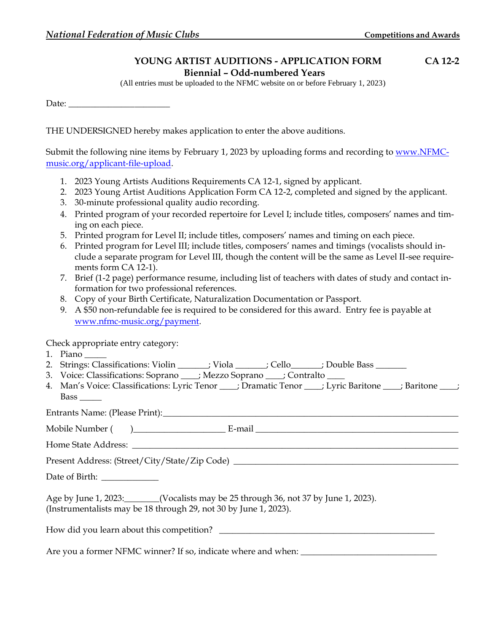## **YOUNG ARTIST AUDITIONS - APPLICATION FORM CA 12-2 Biennial – Odd-numbered Years**

(All entries must be uploaded to the NFMC website on or before February 1, 2023)

Date: \_\_\_\_\_\_\_\_\_\_\_\_\_\_\_\_\_\_\_\_\_\_\_

THE UNDERSIGNED hereby makes application to enter the above auditions.

Submit the following nine items by February 1, 2023 by uploading forms and recording to [www.NFMC](http://www.nfmc-music.org/applicant-file-upload)[music.org/applicant-file-upload.](http://www.nfmc-music.org/applicant-file-upload)

- 1. 2023 Young Artists Auditions Requirements CA 12-1, signed by applicant.
- 2. 2023 Young Artist Auditions Application Form CA 12-2, completed and signed by the applicant.
- 3. 30-minute professional quality audio recording.
- 4. Printed program of your recorded repertoire for Level I; include titles, composers' names and timing on each piece.
- 5. Printed program for Level II; include titles, composers' names and timing on each piece.
- 6. Printed program for Level III; include titles, composers' names and timings (vocalists should include a separate program for Level III, though the content will be the same as Level II-see requirements form CA 12-1).
- 7. Brief (1-2 page) performance resume, including list of teachers with dates of study and contact information for two professional references.
- 8. Copy of your Birth Certificate, Naturalization Documentation or Passport.
- 9. A \$50 non-refundable fee is required to be considered for this award. Entry fee is payable at [www.nfmc-music.org/payment.](http://www.nfmc-music.org/payment)

Check appropriate entry category:

- 1. Piano
- 2. Strings: Classifications: Violin \_\_\_\_\_\_\_; Viola \_\_\_\_\_\_; Cello \_\_\_\_\_\_; Double Bass \_\_\_\_\_\_\_
- 3. Voice: Classifications: Soprano \_\_\_\_; Mezzo Soprano \_\_\_\_; Contralto \_\_\_\_
- 4. Man's Voice: Classifications: Lyric Tenor \_\_\_\_; Dramatic Tenor \_\_\_\_; Lyric Baritone \_\_\_\_; Baritone \_\_\_\_; Bass \_\_\_\_\_

Entrants Name: (Please Print):

Mobile Number ( )\_\_\_\_\_\_\_\_\_\_\_\_\_\_\_\_\_\_\_\_\_ E-mail \_\_\_\_\_\_\_\_\_\_\_\_\_\_\_\_\_\_\_\_\_\_\_\_\_\_\_\_\_\_\_\_\_\_\_\_\_\_\_\_\_\_\_\_\_\_

Home State Address:  $\blacksquare$ 

Present Address: (Street/City/State/Zip Code) \_\_\_\_\_\_\_\_\_\_\_\_\_\_\_\_\_\_\_\_\_\_\_\_\_\_\_\_\_\_\_\_\_\_

Date of Birth: \_\_\_\_\_\_\_\_\_\_\_\_\_

Age by June 1, 2023:\_\_\_\_\_\_\_\_(Vocalists may be 25 through 36, not 37 by June 1, 2023). (Instrumentalists may be 18 through 29, not 30 by June 1, 2023).

How did you learn about this competition? \_\_\_\_\_\_\_\_\_\_\_\_\_\_\_\_\_\_\_\_\_\_\_\_\_\_\_\_\_\_\_\_\_\_\_\_\_\_\_\_\_\_\_\_\_\_\_\_\_

Are you a former NFMC winner? If so, indicate where and when: \_\_\_\_\_\_\_\_\_\_\_\_\_\_\_\_\_\_\_